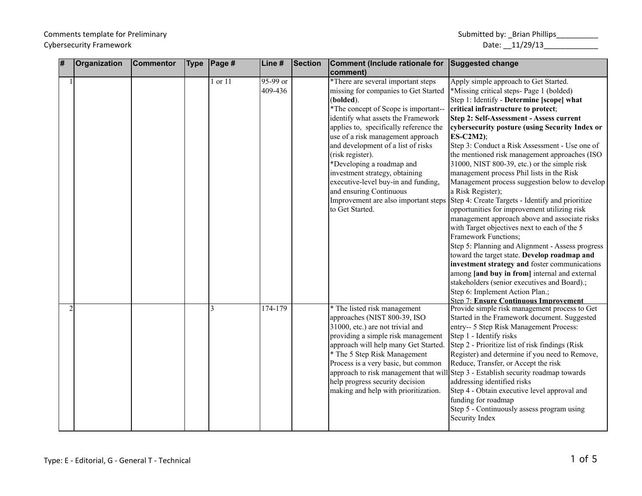| # | <b>Organization</b> | <b>Commentor</b> | <b>Type</b> | Page #  | Line #              | Section | Comment (Include rationale for Suggested change                                                                                                                                                                                                                                                                                                                                                                                                                                |                                                                                                                                                                                                                                                                                                                                                                                                                                                                                                                                                                                                                                                                                                                                                                                                                                                                                                                                                                                                                                                                                                                                                                      |
|---|---------------------|------------------|-------------|---------|---------------------|---------|--------------------------------------------------------------------------------------------------------------------------------------------------------------------------------------------------------------------------------------------------------------------------------------------------------------------------------------------------------------------------------------------------------------------------------------------------------------------------------|----------------------------------------------------------------------------------------------------------------------------------------------------------------------------------------------------------------------------------------------------------------------------------------------------------------------------------------------------------------------------------------------------------------------------------------------------------------------------------------------------------------------------------------------------------------------------------------------------------------------------------------------------------------------------------------------------------------------------------------------------------------------------------------------------------------------------------------------------------------------------------------------------------------------------------------------------------------------------------------------------------------------------------------------------------------------------------------------------------------------------------------------------------------------|
|   |                     |                  |             | 1 or 11 | 95-99 or<br>409-436 |         | comment)<br>*There are several important steps<br>missing for companies to Get Started<br>(bolded).<br>*The concept of Scope is important--<br>identify what assets the Framework<br>applies to, specifically reference the<br>use of a risk management approach<br>and development of a list of risks<br>(risk register).<br>*Developing a roadmap and<br>investment strategy, obtaining<br>executive-level buy-in and funding,<br>and ensuring Continuous<br>to Get Started. | Apply simple approach to Get Started.<br>*Missing critical steps- Page 1 (bolded)<br>Step 1: Identify - Determine [scope] what<br>critical infrastructure to protect;<br>Step 2: Self-Assessment - Assess current<br>cybersecurity posture (using Security Index or<br>$ES-C2M2);$<br>Step 3: Conduct a Risk Assessment - Use one of<br>the mentioned risk management approaches (ISO<br>31000, NIST 800-39, etc.) or the simple risk<br>management process Phil lists in the Risk<br>Management process suggestion below to develop<br>a Risk Register);<br>Improvement are also important steps Step 4: Create Targets - Identify and prioritize<br>opportunities for improvement utilizing risk<br>management approach above and associate risks<br>with Target objectives next to each of the 5<br>Framework Functions;<br>Step 5: Planning and Alignment - Assess progress<br>toward the target state. Develop roadmap and<br>investment strategy and foster communications<br>among [and buy in from] internal and external<br>stakeholders (senior executives and Board).;<br>Step 6: Implement Action Plan.;<br><b>Step 7: Ensure Continuous Improvement</b> |
|   |                     |                  |             | 3       | 174-179             |         | * The listed risk management<br>approaches (NIST 800-39, ISO<br>31000, etc.) are not trivial and<br>providing a simple risk management<br>approach will help many Get Started.<br>* The 5 Step Risk Management<br>Process is a very basic, but common<br>help progress security decision<br>making and help with prioritization.                                                                                                                                               | Provide simple risk management process to Get<br>Started in the Framework document. Suggested<br>entry-- 5 Step Risk Management Process:<br>Step 1 - Identify risks<br>Step 2 - Prioritize list of risk findings (Risk)<br>Register) and determine if you need to Remove,<br>Reduce, Transfer, or Accept the risk<br>approach to risk management that will Step 3 - Establish security roadmap towards<br>addressing identified risks<br>Step 4 - Obtain executive level approval and<br>funding for roadmap<br>Step 5 - Continuously assess program using<br>Security Index                                                                                                                                                                                                                                                                                                                                                                                                                                                                                                                                                                                         |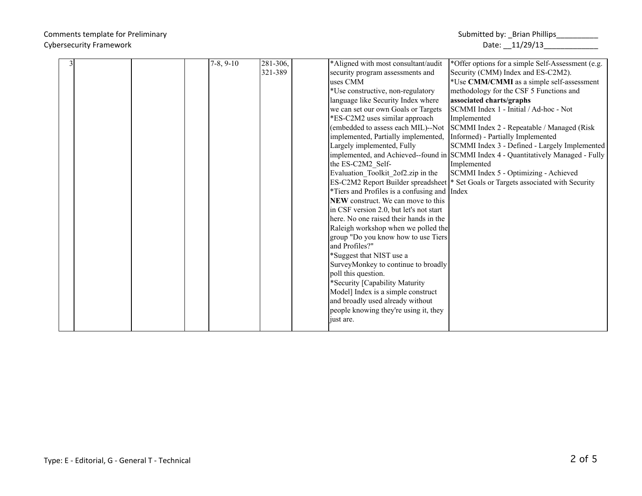|  | $7-8, 9-10$ | 281-306. | *Aligned with most consultant/audit          | *Offer options for a simple Self-Assessment (e.g.                                   |
|--|-------------|----------|----------------------------------------------|-------------------------------------------------------------------------------------|
|  |             | 321-389  | security program assessments and             | Security (CMM) Index and ES-C2M2).                                                  |
|  |             |          | uses CMM                                     | *Use CMM/CMMI as a simple self-assessment                                           |
|  |             |          | *Use constructive, non-regulatory            | methodology for the CSF 5 Functions and                                             |
|  |             |          | language like Security Index where           | associated charts/graphs                                                            |
|  |             |          | we can set our own Goals or Targets          | SCMMI Index 1 - Initial / Ad-hoc - Not                                              |
|  |             |          | *ES-C2M2 uses similar approach               | Implemented                                                                         |
|  |             |          |                                              | (embedded to assess each MIL)--Not  SCMMI Index 2 - Repeatable / Managed (Risk      |
|  |             |          | implemented, Partially implemented,          | Informed) - Partially Implemented                                                   |
|  |             |          | Largely implemented, Fully                   | SCMMI Index 3 - Defined - Largely Implemented                                       |
|  |             |          |                                              | implemented, and Achieved--found in SCMMI Index 4 - Quantitatively Managed - Fully  |
|  |             |          | the ES-C2M2 Self-                            | Implemented                                                                         |
|  |             |          | Evaluation Toolkit 2of2.zip in the           | SCMMI Index 5 - Optimizing - Achieved                                               |
|  |             |          |                                              | ES-C2M2 Report Builder spreadsheet  * Set Goals or Targets associated with Security |
|  |             |          | *Tiers and Profiles is a confusing and Index |                                                                                     |
|  |             |          | NEW construct. We can move to this           |                                                                                     |
|  |             |          | in CSF version 2.0, but let's not start      |                                                                                     |
|  |             |          | here. No one raised their hands in the       |                                                                                     |
|  |             |          | Raleigh workshop when we polled the          |                                                                                     |
|  |             |          | group "Do you know how to use Tiers          |                                                                                     |
|  |             |          | and Profiles?"                               |                                                                                     |
|  |             |          | *Suggest that NIST use a                     |                                                                                     |
|  |             |          | SurveyMonkey to continue to broadly          |                                                                                     |
|  |             |          | poll this question.                          |                                                                                     |
|  |             |          | *Security [Capability Maturity               |                                                                                     |
|  |             |          | Model] Index is a simple construct           |                                                                                     |
|  |             |          | and broadly used already without             |                                                                                     |
|  |             |          | people knowing they're using it, they        |                                                                                     |
|  |             |          | just are.                                    |                                                                                     |
|  |             |          |                                              |                                                                                     |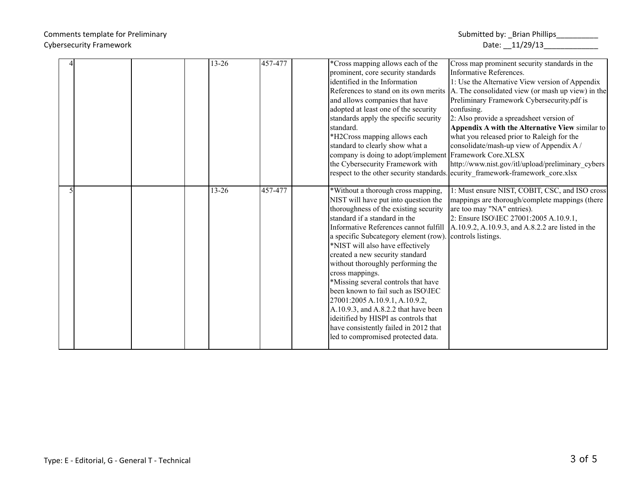|  | 13-26 | 457-477 | *Cross mapping allows each of the                                           | Cross map prominent security standards in the                                                |
|--|-------|---------|-----------------------------------------------------------------------------|----------------------------------------------------------------------------------------------|
|  |       |         | prominent, core security standards                                          | Informative References.                                                                      |
|  |       |         | identified in the Information                                               | 1: Use the Alternative View version of Appendix                                              |
|  |       |         |                                                                             | References to stand on its own merits $ A $ . The consolidated view (or mash up view) in the |
|  |       |         | and allows companies that have                                              | Preliminary Framework Cybersecurity.pdf is                                                   |
|  |       |         | adopted at least one of the security                                        | confusing.                                                                                   |
|  |       |         | standards apply the specific security                                       | 2: Also provide a spreadsheet version of                                                     |
|  |       |         | standard.                                                                   | Appendix A with the Alternative View similar to                                              |
|  |       |         | *H2Cross mapping allows each                                                | what you released prior to Raleigh for the                                                   |
|  |       |         | standard to clearly show what a                                             | consolidate/mash-up view of Appendix A/                                                      |
|  |       |         | company is doing to adopt/implement Framework Core.XLSX                     |                                                                                              |
|  |       |         | the Cybersecurity Framework with                                            | http://www.nist.gov/itl/upload/preliminary_cybers                                            |
|  |       |         |                                                                             | respect to the other security standards. ecurity framework-framework core.xlsx               |
|  |       |         |                                                                             |                                                                                              |
|  | 13-26 | 457-477 | *Without a thorough cross mapping,                                          | 1: Must ensure NIST, COBIT, CSC, and ISO cross                                               |
|  |       |         | NIST will have put into question the                                        | mappings are thorough/complete mappings (there                                               |
|  |       |         | thoroughness of the existing security                                       | are too may "NA" entries).                                                                   |
|  |       |         | standard if a standard in the                                               | 2: Ensure ISO\IEC 27001:2005 A.10.9.1,                                                       |
|  |       |         |                                                                             | Informative References cannot fulfill  A.10.9.2, A.10.9.3, and A.8.2.2 are listed in the     |
|  |       |         | a specific Subcategory element (row). controls listings.                    |                                                                                              |
|  |       |         | *NIST will also have effectively                                            |                                                                                              |
|  |       |         | created a new security standard                                             |                                                                                              |
|  |       |         | without thoroughly performing the                                           |                                                                                              |
|  |       |         | cross mappings.                                                             |                                                                                              |
|  |       |         | *Missing several controls that have                                         |                                                                                              |
|  |       |         |                                                                             |                                                                                              |
|  |       |         | been known to fail such as ISO\IEC                                          |                                                                                              |
|  |       |         |                                                                             |                                                                                              |
|  |       |         | 27001:2005 A.10.9.1, A.10.9.2,                                              |                                                                                              |
|  |       |         | A.10.9.3, and A.8.2.2 that have been                                        |                                                                                              |
|  |       |         | ideitified by HISPI as controls that                                        |                                                                                              |
|  |       |         | have consistently failed in 2012 that<br>led to compromised protected data. |                                                                                              |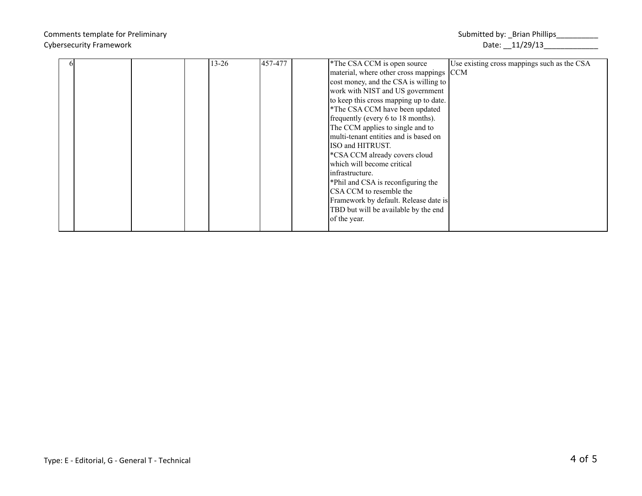|  |  | $13 - 26$ | 457-477 | *The CSA CCM is open source              | Use existing cross mappings such as the CSA |
|--|--|-----------|---------|------------------------------------------|---------------------------------------------|
|  |  |           |         |                                          |                                             |
|  |  |           |         | material, where other cross mappings CCM |                                             |
|  |  |           |         | cost money, and the CSA is willing to    |                                             |
|  |  |           |         | work with NIST and US government         |                                             |
|  |  |           |         | to keep this cross mapping up to date.   |                                             |
|  |  |           |         | *The CSA CCM have been updated           |                                             |
|  |  |           |         | frequently (every 6 to 18 months).       |                                             |
|  |  |           |         | The CCM applies to single and to         |                                             |
|  |  |           |         | multi-tenant entities and is based on    |                                             |
|  |  |           |         | ISO and HITRUST.                         |                                             |
|  |  |           |         | *CSA CCM already covers cloud            |                                             |
|  |  |           |         | which will become critical               |                                             |
|  |  |           |         | linfrastructure.                         |                                             |
|  |  |           |         | *Phil and CSA is reconfiguring the       |                                             |
|  |  |           |         | CSA CCM to resemble the                  |                                             |
|  |  |           |         | Framework by default. Release date is    |                                             |
|  |  |           |         | TBD but will be available by the end     |                                             |
|  |  |           |         | of the year.                             |                                             |
|  |  |           |         |                                          |                                             |